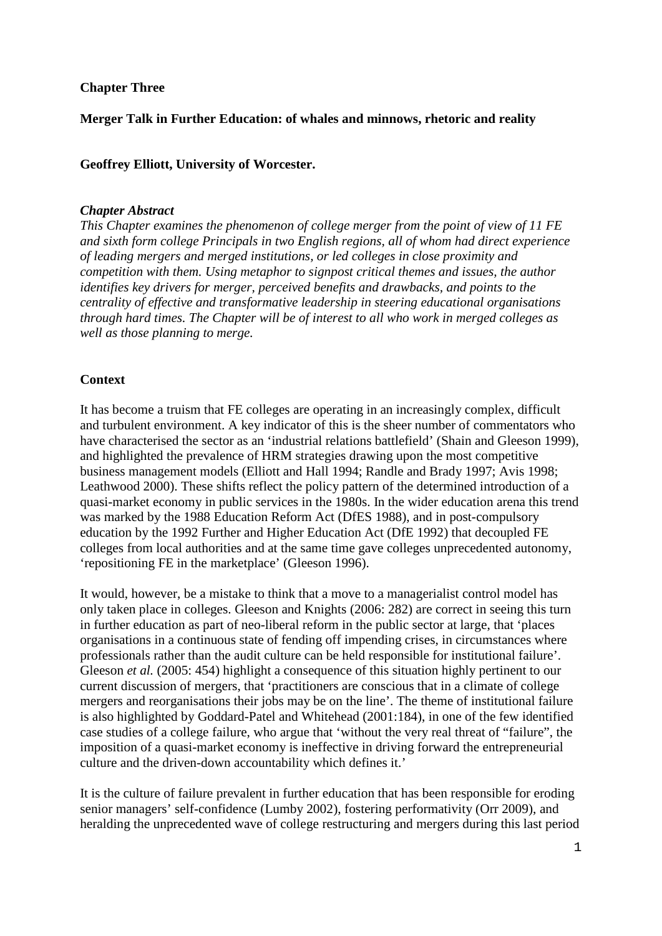# **Chapter Three**

# **Merger Talk in Further Education: of whales and minnows, rhetoric and reality**

# **Geoffrey Elliott, University of Worcester.**

### *Chapter Abstract*

*This Chapter examines the phenomenon of college merger from the point of view of 11 FE and sixth form college Principals in two English regions, all of whom had direct experience of leading mergers and merged institutions, or led colleges in close proximity and competition with them. Using metaphor to signpost critical themes and issues, the author identifies key drivers for merger, perceived benefits and drawbacks, and points to the centrality of effective and transformative leadership in steering educational organisations through hard times. The Chapter will be of interest to all who work in merged colleges as well as those planning to merge.* 

## **Context**

It has become a truism that FE colleges are operating in an increasingly complex, difficult and turbulent environment. A key indicator of this is the sheer number of commentators who have characterised the sector as an 'industrial relations battlefield' (Shain and Gleeson 1999), and highlighted the prevalence of HRM strategies drawing upon the most competitive business management models (Elliott and Hall 1994; Randle and Brady 1997; Avis 1998; Leathwood 2000). These shifts reflect the policy pattern of the determined introduction of a quasi-market economy in public services in the 1980s. In the wider education arena this trend was marked by the 1988 Education Reform Act (DfES 1988), and in post-compulsory education by the 1992 Further and Higher Education Act (DfE 1992) that decoupled FE colleges from local authorities and at the same time gave colleges unprecedented autonomy, 'repositioning FE in the marketplace' (Gleeson 1996).

It would, however, be a mistake to think that a move to a managerialist control model has only taken place in colleges. Gleeson and Knights (2006: 282) are correct in seeing this turn in further education as part of neo-liberal reform in the public sector at large, that 'places organisations in a continuous state of fending off impending crises, in circumstances where professionals rather than the audit culture can be held responsible for institutional failure'. Gleeson *et al.* (2005: 454) highlight a consequence of this situation highly pertinent to our current discussion of mergers, that 'practitioners are conscious that in a climate of college mergers and reorganisations their jobs may be on the line'. The theme of institutional failure is also highlighted by Goddard-Patel and Whitehead (2001:184), in one of the few identified case studies of a college failure, who argue that 'without the very real threat of "failure", the imposition of a quasi-market economy is ineffective in driving forward the entrepreneurial culture and the driven-down accountability which defines it.'

It is the culture of failure prevalent in further education that has been responsible for eroding senior managers' self-confidence (Lumby 2002), fostering performativity (Orr 2009), and heralding the unprecedented wave of college restructuring and mergers during this last period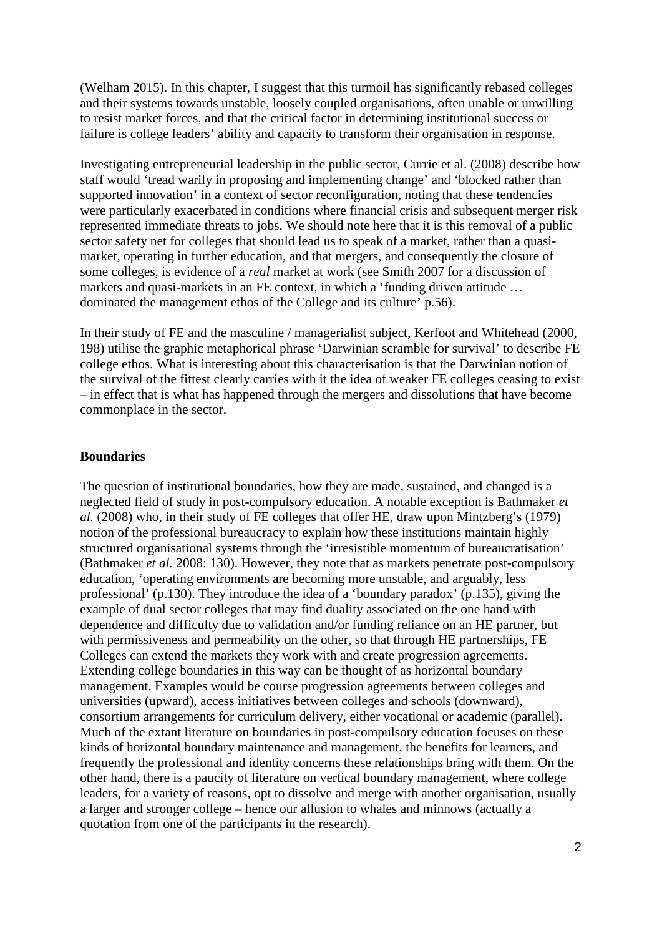(Welham 2015). In this chapter, I suggest that this turmoil has significantly rebased colleges and their systems towards unstable, loosely coupled organisations, often unable or unwilling to resist market forces, and that the critical factor in determining institutional success or failure is college leaders' ability and capacity to transform their organisation in response.

Investigating entrepreneurial leadership in the public sector, Currie et al. (2008) describe how staff would 'tread warily in proposing and implementing change' and 'blocked rather than supported innovation' in a context of sector reconfiguration, noting that these tendencies were particularly exacerbated in conditions where financial crisis and subsequent merger risk represented immediate threats to jobs. We should note here that it is this removal of a public sector safety net for colleges that should lead us to speak of a market, rather than a quasimarket, operating in further education, and that mergers, and consequently the closure of some colleges, is evidence of a *real* market at work (see Smith 2007 for a discussion of markets and quasi-markets in an FE context, in which a 'funding driven attitude … dominated the management ethos of the College and its culture' p.56).

In their study of FE and the masculine / managerialist subject, Kerfoot and Whitehead (2000, 198) utilise the graphic metaphorical phrase 'Darwinian scramble for survival' to describe FE college ethos. What is interesting about this characterisation is that the Darwinian notion of the survival of the fittest clearly carries with it the idea of weaker FE colleges ceasing to exist – in effect that is what has happened through the mergers and dissolutions that have become commonplace in the sector.

## **Boundaries**

The question of institutional boundaries, how they are made, sustained, and changed is a neglected field of study in post-compulsory education. A notable exception is Bathmaker *et al.* (2008) who, in their study of FE colleges that offer HE, draw upon Mintzberg's (1979) notion of the professional bureaucracy to explain how these institutions maintain highly structured organisational systems through the 'irresistible momentum of bureaucratisation' (Bathmaker *et al.* 2008: 130). However, they note that as markets penetrate post-compulsory education, 'operating environments are becoming more unstable, and arguably, less professional' (p.130). They introduce the idea of a 'boundary paradox' (p.135), giving the example of dual sector colleges that may find duality associated on the one hand with dependence and difficulty due to validation and/or funding reliance on an HE partner, but with permissiveness and permeability on the other, so that through HE partnerships, FE Colleges can extend the markets they work with and create progression agreements. Extending college boundaries in this way can be thought of as horizontal boundary management. Examples would be course progression agreements between colleges and universities (upward), access initiatives between colleges and schools (downward), consortium arrangements for curriculum delivery, either vocational or academic (parallel). Much of the extant literature on boundaries in post-compulsory education focuses on these kinds of horizontal boundary maintenance and management, the benefits for learners, and frequently the professional and identity concerns these relationships bring with them. On the other hand, there is a paucity of literature on vertical boundary management, where college leaders, for a variety of reasons, opt to dissolve and merge with another organisation, usually a larger and stronger college – hence our allusion to whales and minnows (actually a quotation from one of the participants in the research).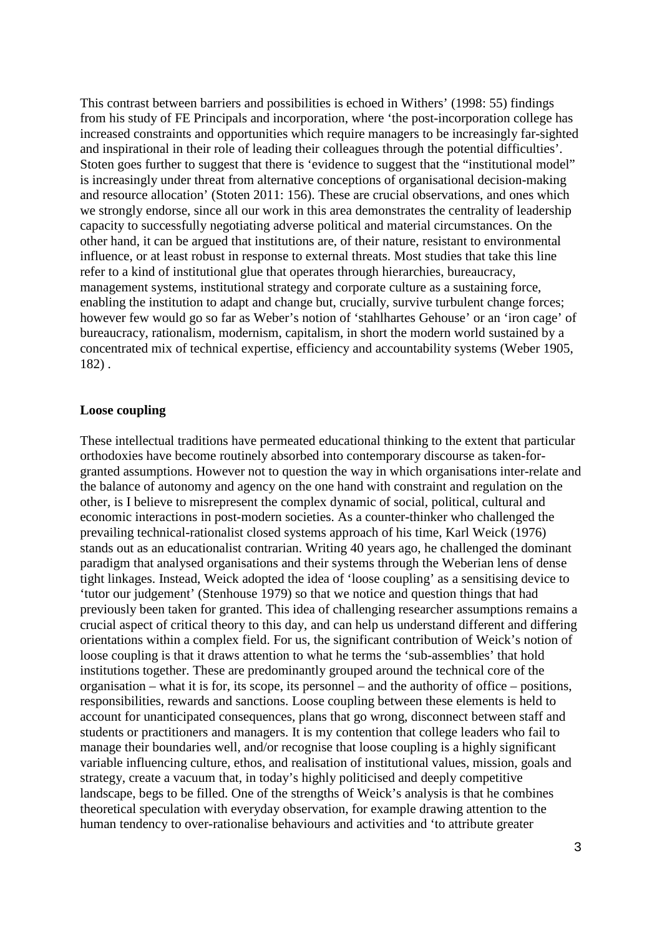This contrast between barriers and possibilities is echoed in Withers' (1998: 55) findings from his study of FE Principals and incorporation, where 'the post-incorporation college has increased constraints and opportunities which require managers to be increasingly far-sighted and inspirational in their role of leading their colleagues through the potential difficulties'. Stoten goes further to suggest that there is 'evidence to suggest that the "institutional model" is increasingly under threat from alternative conceptions of organisational decision-making and resource allocation' (Stoten 2011: 156). These are crucial observations, and ones which we strongly endorse, since all our work in this area demonstrates the centrality of leadership capacity to successfully negotiating adverse political and material circumstances. On the other hand, it can be argued that institutions are, of their nature, resistant to environmental influence, or at least robust in response to external threats. Most studies that take this line refer to a kind of institutional glue that operates through hierarchies, bureaucracy, management systems, institutional strategy and corporate culture as a sustaining force, enabling the institution to adapt and change but, crucially, survive turbulent change forces; however few would go so far as Weber's notion of 'stahlhartes Gehouse' or an 'iron cage' of bureaucracy, rationalism, modernism, capitalism, in short the modern world sustained by a concentrated mix of technical expertise, efficiency and accountability systems (Weber 1905, 182) .

#### **Loose coupling**

These intellectual traditions have permeated educational thinking to the extent that particular orthodoxies have become routinely absorbed into contemporary discourse as taken-forgranted assumptions. However not to question the way in which organisations inter-relate and the balance of autonomy and agency on the one hand with constraint and regulation on the other, is I believe to misrepresent the complex dynamic of social, political, cultural and economic interactions in post-modern societies. As a counter-thinker who challenged the prevailing technical-rationalist closed systems approach of his time, Karl Weick (1976) stands out as an educationalist contrarian. Writing 40 years ago, he challenged the dominant paradigm that analysed organisations and their systems through the Weberian lens of dense tight linkages. Instead, Weick adopted the idea of 'loose coupling' as a sensitising device to 'tutor our judgement' (Stenhouse 1979) so that we notice and question things that had previously been taken for granted. This idea of challenging researcher assumptions remains a crucial aspect of critical theory to this day, and can help us understand different and differing orientations within a complex field. For us, the significant contribution of Weick's notion of loose coupling is that it draws attention to what he terms the 'sub-assemblies' that hold institutions together. These are predominantly grouped around the technical core of the organisation – what it is for, its scope, its personnel – and the authority of office – positions, responsibilities, rewards and sanctions. Loose coupling between these elements is held to account for unanticipated consequences, plans that go wrong, disconnect between staff and students or practitioners and managers. It is my contention that college leaders who fail to manage their boundaries well, and/or recognise that loose coupling is a highly significant variable influencing culture, ethos, and realisation of institutional values, mission, goals and strategy, create a vacuum that, in today's highly politicised and deeply competitive landscape, begs to be filled. One of the strengths of Weick's analysis is that he combines theoretical speculation with everyday observation, for example drawing attention to the human tendency to over-rationalise behaviours and activities and 'to attribute greater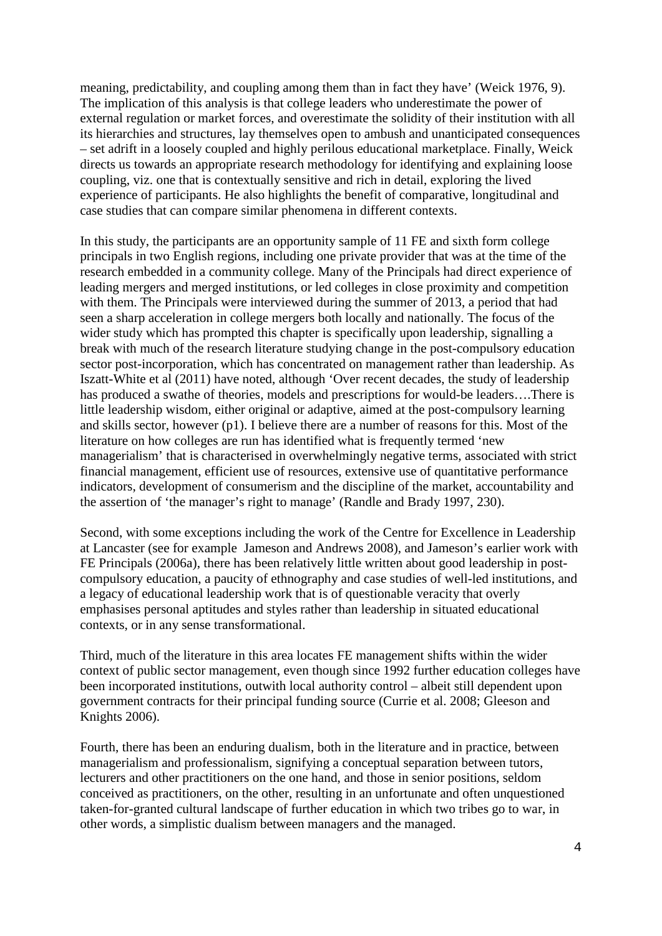meaning, predictability, and coupling among them than in fact they have' (Weick 1976, 9). The implication of this analysis is that college leaders who underestimate the power of external regulation or market forces, and overestimate the solidity of their institution with all its hierarchies and structures, lay themselves open to ambush and unanticipated consequences – set adrift in a loosely coupled and highly perilous educational marketplace. Finally, Weick directs us towards an appropriate research methodology for identifying and explaining loose coupling, viz. one that is contextually sensitive and rich in detail, exploring the lived experience of participants. He also highlights the benefit of comparative, longitudinal and case studies that can compare similar phenomena in different contexts.

In this study, the participants are an opportunity sample of 11 FE and sixth form college principals in two English regions, including one private provider that was at the time of the research embedded in a community college. Many of the Principals had direct experience of leading mergers and merged institutions, or led colleges in close proximity and competition with them. The Principals were interviewed during the summer of 2013, a period that had seen a sharp acceleration in college mergers both locally and nationally. The focus of the wider study which has prompted this chapter is specifically upon leadership, signalling a break with much of the research literature studying change in the post-compulsory education sector post-incorporation, which has concentrated on management rather than leadership. As Iszatt-White et al (2011) have noted, although 'Over recent decades, the study of leadership has produced a swathe of theories, models and prescriptions for would-be leaders….There is little leadership wisdom, either original or adaptive, aimed at the post-compulsory learning and skills sector, however (p1). I believe there are a number of reasons for this. Most of the literature on how colleges are run has identified what is frequently termed 'new managerialism' that is characterised in overwhelmingly negative terms, associated with strict financial management, efficient use of resources, extensive use of quantitative performance indicators, development of consumerism and the discipline of the market, accountability and the assertion of 'the manager's right to manage' (Randle and Brady 1997, 230).

Second, with some exceptions including the work of the Centre for Excellence in Leadership at Lancaster (see for example Jameson and Andrews 2008), and Jameson's earlier work with FE Principals (2006a), there has been relatively little written about good leadership in postcompulsory education, a paucity of ethnography and case studies of well-led institutions, and a legacy of educational leadership work that is of questionable veracity that overly emphasises personal aptitudes and styles rather than leadership in situated educational contexts, or in any sense transformational.

Third, much of the literature in this area locates FE management shifts within the wider context of public sector management, even though since 1992 further education colleges have been incorporated institutions, outwith local authority control – albeit still dependent upon government contracts for their principal funding source (Currie et al. 2008; Gleeson and Knights 2006).

Fourth, there has been an enduring dualism, both in the literature and in practice, between managerialism and professionalism, signifying a conceptual separation between tutors, lecturers and other practitioners on the one hand, and those in senior positions, seldom conceived as practitioners, on the other, resulting in an unfortunate and often unquestioned taken-for-granted cultural landscape of further education in which two tribes go to war, in other words, a simplistic dualism between managers and the managed.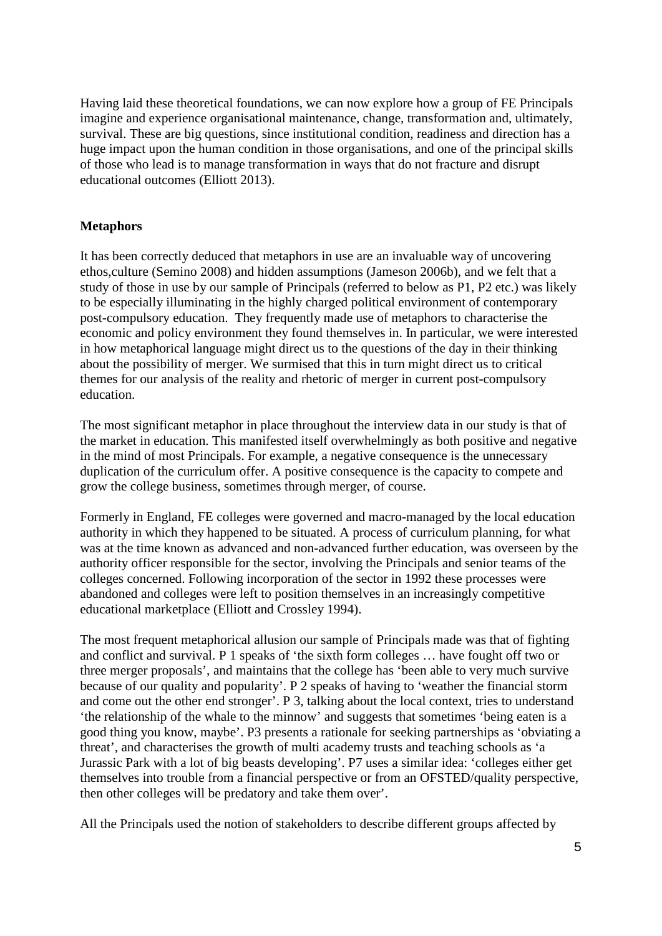Having laid these theoretical foundations, we can now explore how a group of FE Principals imagine and experience organisational maintenance, change, transformation and, ultimately, survival. These are big questions, since institutional condition, readiness and direction has a huge impact upon the human condition in those organisations, and one of the principal skills of those who lead is to manage transformation in ways that do not fracture and disrupt educational outcomes (Elliott 2013).

# **Metaphors**

It has been correctly deduced that metaphors in use are an invaluable way of uncovering ethos,culture (Semino 2008) and hidden assumptions (Jameson 2006b), and we felt that a study of those in use by our sample of Principals (referred to below as P1, P2 etc.) was likely to be especially illuminating in the highly charged political environment of contemporary post-compulsory education. They frequently made use of metaphors to characterise the economic and policy environment they found themselves in. In particular, we were interested in how metaphorical language might direct us to the questions of the day in their thinking about the possibility of merger. We surmised that this in turn might direct us to critical themes for our analysis of the reality and rhetoric of merger in current post-compulsory education.

The most significant metaphor in place throughout the interview data in our study is that of the market in education. This manifested itself overwhelmingly as both positive and negative in the mind of most Principals. For example, a negative consequence is the unnecessary duplication of the curriculum offer. A positive consequence is the capacity to compete and grow the college business, sometimes through merger, of course.

Formerly in England, FE colleges were governed and macro-managed by the local education authority in which they happened to be situated. A process of curriculum planning, for what was at the time known as advanced and non-advanced further education, was overseen by the authority officer responsible for the sector, involving the Principals and senior teams of the colleges concerned. Following incorporation of the sector in 1992 these processes were abandoned and colleges were left to position themselves in an increasingly competitive educational marketplace (Elliott and Crossley 1994).

The most frequent metaphorical allusion our sample of Principals made was that of fighting and conflict and survival. P 1 speaks of 'the sixth form colleges … have fought off two or three merger proposals', and maintains that the college has 'been able to very much survive because of our quality and popularity'. P 2 speaks of having to 'weather the financial storm and come out the other end stronger'. P 3, talking about the local context, tries to understand 'the relationship of the whale to the minnow' and suggests that sometimes 'being eaten is a good thing you know, maybe'. P3 presents a rationale for seeking partnerships as 'obviating a threat', and characterises the growth of multi academy trusts and teaching schools as 'a Jurassic Park with a lot of big beasts developing'. P7 uses a similar idea: 'colleges either get themselves into trouble from a financial perspective or from an OFSTED/quality perspective, then other colleges will be predatory and take them over'.

All the Principals used the notion of stakeholders to describe different groups affected by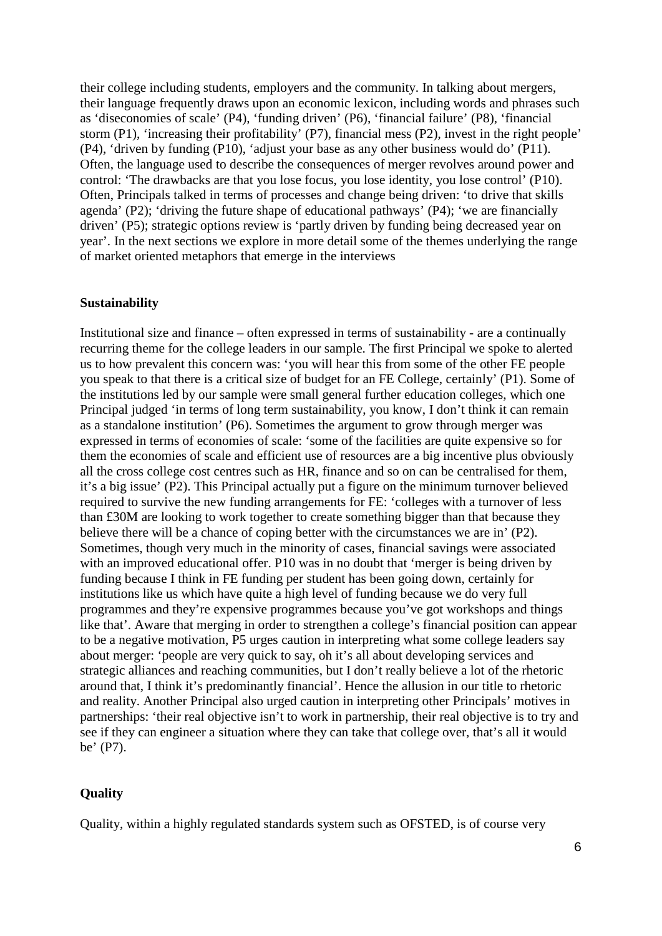their college including students, employers and the community. In talking about mergers, their language frequently draws upon an economic lexicon, including words and phrases such as 'diseconomies of scale' (P4), 'funding driven' (P6), 'financial failure' (P8), 'financial storm (P1), 'increasing their profitability' (P7), financial mess (P2), invest in the right people' (P4), 'driven by funding (P10), 'adjust your base as any other business would do' (P11). Often, the language used to describe the consequences of merger revolves around power and control: 'The drawbacks are that you lose focus, you lose identity, you lose control' (P10). Often, Principals talked in terms of processes and change being driven: 'to drive that skills agenda' (P2); 'driving the future shape of educational pathways' (P4); 'we are financially driven' (P5); strategic options review is 'partly driven by funding being decreased year on year'. In the next sections we explore in more detail some of the themes underlying the range of market oriented metaphors that emerge in the interviews

#### **Sustainability**

Institutional size and finance – often expressed in terms of sustainability - are a continually recurring theme for the college leaders in our sample. The first Principal we spoke to alerted us to how prevalent this concern was: 'you will hear this from some of the other FE people you speak to that there is a critical size of budget for an FE College, certainly' (P1). Some of the institutions led by our sample were small general further education colleges, which one Principal judged 'in terms of long term sustainability, you know, I don't think it can remain as a standalone institution' (P6). Sometimes the argument to grow through merger was expressed in terms of economies of scale: 'some of the facilities are quite expensive so for them the economies of scale and efficient use of resources are a big incentive plus obviously all the cross college cost centres such as HR, finance and so on can be centralised for them, it's a big issue' (P2). This Principal actually put a figure on the minimum turnover believed required to survive the new funding arrangements for FE: 'colleges with a turnover of less than £30M are looking to work together to create something bigger than that because they believe there will be a chance of coping better with the circumstances we are in' (P2). Sometimes, though very much in the minority of cases, financial savings were associated with an improved educational offer. P10 was in no doubt that 'merger is being driven by funding because I think in FE funding per student has been going down, certainly for institutions like us which have quite a high level of funding because we do very full programmes and they're expensive programmes because you've got workshops and things like that'. Aware that merging in order to strengthen a college's financial position can appear to be a negative motivation, P5 urges caution in interpreting what some college leaders say about merger: 'people are very quick to say, oh it's all about developing services and strategic alliances and reaching communities, but I don't really believe a lot of the rhetoric around that, I think it's predominantly financial'. Hence the allusion in our title to rhetoric and reality. Another Principal also urged caution in interpreting other Principals' motives in partnerships: 'their real objective isn't to work in partnership, their real objective is to try and see if they can engineer a situation where they can take that college over, that's all it would be' (P7).

### **Quality**

Quality, within a highly regulated standards system such as OFSTED, is of course very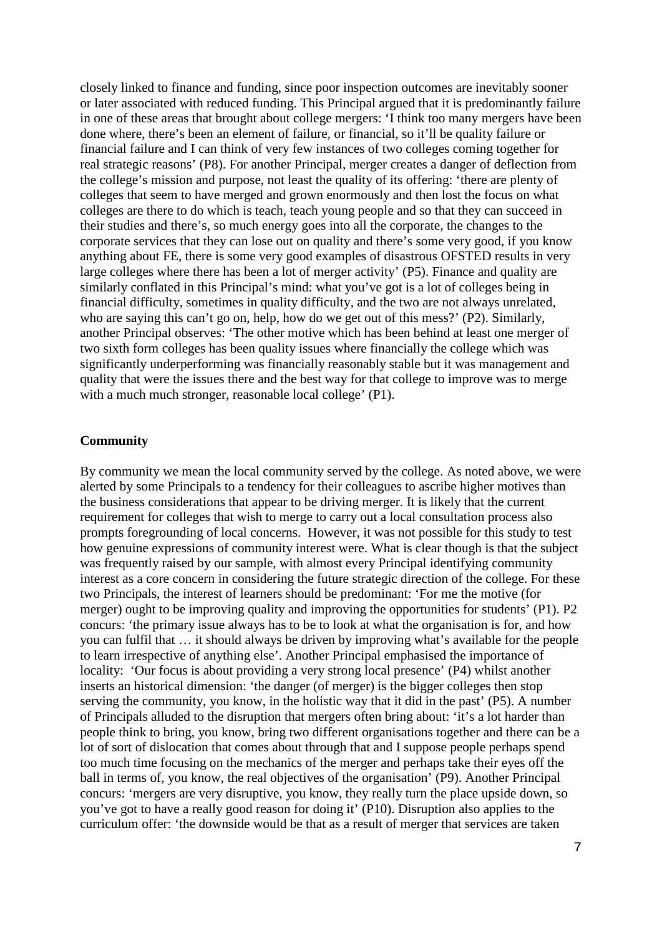closely linked to finance and funding, since poor inspection outcomes are inevitably sooner or later associated with reduced funding. This Principal argued that it is predominantly failure in one of these areas that brought about college mergers: 'I think too many mergers have been done where, there's been an element of failure, or financial, so it'll be quality failure or financial failure and I can think of very few instances of two colleges coming together for real strategic reasons' (P8). For another Principal, merger creates a danger of deflection from the college's mission and purpose, not least the quality of its offering: 'there are plenty of colleges that seem to have merged and grown enormously and then lost the focus on what colleges are there to do which is teach, teach young people and so that they can succeed in their studies and there's, so much energy goes into all the corporate, the changes to the corporate services that they can lose out on quality and there's some very good, if you know anything about FE, there is some very good examples of disastrous OFSTED results in very large colleges where there has been a lot of merger activity' (P5). Finance and quality are similarly conflated in this Principal's mind: what you've got is a lot of colleges being in financial difficulty, sometimes in quality difficulty, and the two are not always unrelated, who are saying this can't go on, help, how do we get out of this mess?' (P2). Similarly, another Principal observes: 'The other motive which has been behind at least one merger of two sixth form colleges has been quality issues where financially the college which was significantly underperforming was financially reasonably stable but it was management and quality that were the issues there and the best way for that college to improve was to merge with a much much stronger, reasonable local college' (P1).

#### **Community**

By community we mean the local community served by the college. As noted above, we were alerted by some Principals to a tendency for their colleagues to ascribe higher motives than the business considerations that appear to be driving merger. It is likely that the current requirement for colleges that wish to merge to carry out a local consultation process also prompts foregrounding of local concerns. However, it was not possible for this study to test how genuine expressions of community interest were. What is clear though is that the subject was frequently raised by our sample, with almost every Principal identifying community interest as a core concern in considering the future strategic direction of the college. For these two Principals, the interest of learners should be predominant: 'For me the motive (for merger) ought to be improving quality and improving the opportunities for students' (P1). P2 concurs: 'the primary issue always has to be to look at what the organisation is for, and how you can fulfil that … it should always be driven by improving what's available for the people to learn irrespective of anything else'. Another Principal emphasised the importance of locality: 'Our focus is about providing a very strong local presence' (P4) whilst another inserts an historical dimension: 'the danger (of merger) is the bigger colleges then stop serving the community, you know, in the holistic way that it did in the past' (P5). A number of Principals alluded to the disruption that mergers often bring about: 'it's a lot harder than people think to bring, you know, bring two different organisations together and there can be a lot of sort of dislocation that comes about through that and I suppose people perhaps spend too much time focusing on the mechanics of the merger and perhaps take their eyes off the ball in terms of, you know, the real objectives of the organisation' (P9). Another Principal concurs: 'mergers are very disruptive, you know, they really turn the place upside down, so you've got to have a really good reason for doing it' (P10). Disruption also applies to the curriculum offer: 'the downside would be that as a result of merger that services are taken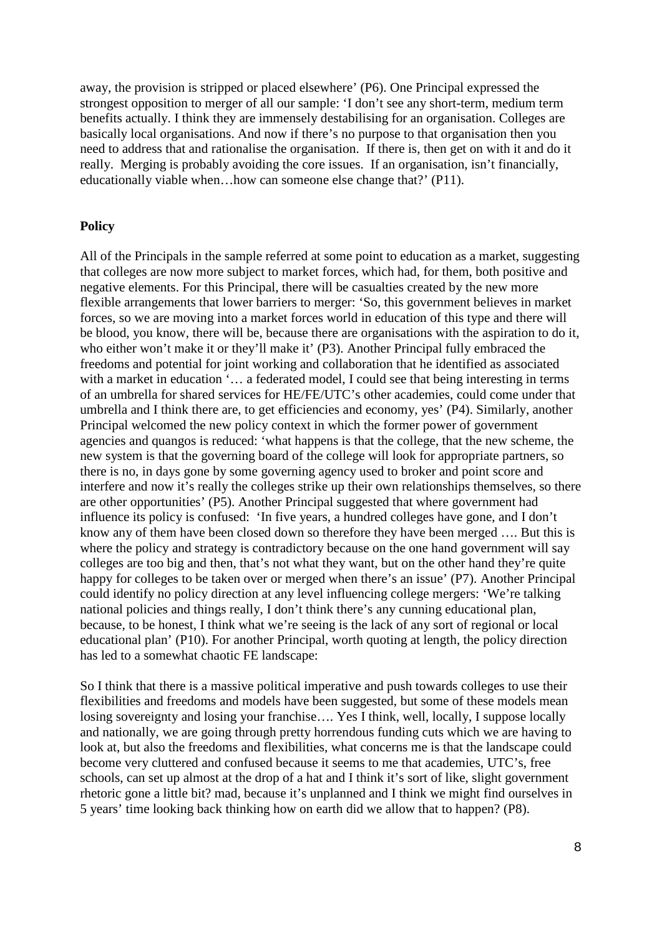away, the provision is stripped or placed elsewhere' (P6). One Principal expressed the strongest opposition to merger of all our sample: 'I don't see any short-term, medium term benefits actually. I think they are immensely destabilising for an organisation. Colleges are basically local organisations. And now if there's no purpose to that organisation then you need to address that and rationalise the organisation. If there is, then get on with it and do it really. Merging is probably avoiding the core issues. If an organisation, isn't financially, educationally viable when…how can someone else change that?' (P11).

# **Policy**

All of the Principals in the sample referred at some point to education as a market, suggesting that colleges are now more subject to market forces, which had, for them, both positive and negative elements. For this Principal, there will be casualties created by the new more flexible arrangements that lower barriers to merger: 'So, this government believes in market forces, so we are moving into a market forces world in education of this type and there will be blood, you know, there will be, because there are organisations with the aspiration to do it, who either won't make it or they'll make it' (P3). Another Principal fully embraced the freedoms and potential for joint working and collaboration that he identified as associated with a market in education '... a federated model, I could see that being interesting in terms of an umbrella for shared services for HE/FE/UTC's other academies, could come under that umbrella and I think there are, to get efficiencies and economy, yes' (P4). Similarly, another Principal welcomed the new policy context in which the former power of government agencies and quangos is reduced: 'what happens is that the college, that the new scheme, the new system is that the governing board of the college will look for appropriate partners, so there is no, in days gone by some governing agency used to broker and point score and interfere and now it's really the colleges strike up their own relationships themselves, so there are other opportunities' (P5). Another Principal suggested that where government had influence its policy is confused: 'In five years, a hundred colleges have gone, and I don't know any of them have been closed down so therefore they have been merged …. But this is where the policy and strategy is contradictory because on the one hand government will say colleges are too big and then, that's not what they want, but on the other hand they're quite happy for colleges to be taken over or merged when there's an issue' (P7). Another Principal could identify no policy direction at any level influencing college mergers: 'We're talking national policies and things really, I don't think there's any cunning educational plan, because, to be honest, I think what we're seeing is the lack of any sort of regional or local educational plan' (P10). For another Principal, worth quoting at length, the policy direction has led to a somewhat chaotic FE landscape:

So I think that there is a massive political imperative and push towards colleges to use their flexibilities and freedoms and models have been suggested, but some of these models mean losing sovereignty and losing your franchise…. Yes I think, well, locally, I suppose locally and nationally, we are going through pretty horrendous funding cuts which we are having to look at, but also the freedoms and flexibilities, what concerns me is that the landscape could become very cluttered and confused because it seems to me that academies, UTC's, free schools, can set up almost at the drop of a hat and I think it's sort of like, slight government rhetoric gone a little bit? mad, because it's unplanned and I think we might find ourselves in 5 years' time looking back thinking how on earth did we allow that to happen? (P8).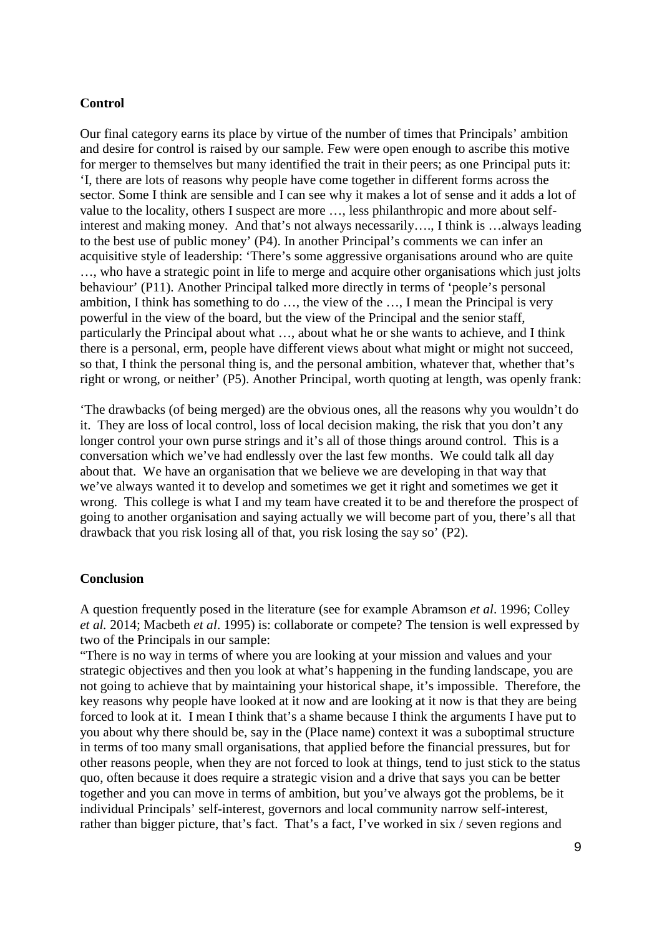### **Control**

Our final category earns its place by virtue of the number of times that Principals' ambition and desire for control is raised by our sample. Few were open enough to ascribe this motive for merger to themselves but many identified the trait in their peers; as one Principal puts it: 'I, there are lots of reasons why people have come together in different forms across the sector. Some I think are sensible and I can see why it makes a lot of sense and it adds a lot of value to the locality, others I suspect are more …, less philanthropic and more about selfinterest and making money. And that's not always necessarily…., I think is …always leading to the best use of public money' (P4). In another Principal's comments we can infer an acquisitive style of leadership: 'There's some aggressive organisations around who are quite …, who have a strategic point in life to merge and acquire other organisations which just jolts behaviour' (P11). Another Principal talked more directly in terms of 'people's personal ambition, I think has something to do …, the view of the …, I mean the Principal is very powerful in the view of the board, but the view of the Principal and the senior staff, particularly the Principal about what …, about what he or she wants to achieve, and I think there is a personal, erm, people have different views about what might or might not succeed, so that, I think the personal thing is, and the personal ambition, whatever that, whether that's right or wrong, or neither' (P5). Another Principal, worth quoting at length, was openly frank:

'The drawbacks (of being merged) are the obvious ones, all the reasons why you wouldn't do it. They are loss of local control, loss of local decision making, the risk that you don't any longer control your own purse strings and it's all of those things around control. This is a conversation which we've had endlessly over the last few months. We could talk all day about that. We have an organisation that we believe we are developing in that way that we've always wanted it to develop and sometimes we get it right and sometimes we get it wrong. This college is what I and my team have created it to be and therefore the prospect of going to another organisation and saying actually we will become part of you, there's all that drawback that you risk losing all of that, you risk losing the say so' (P2).

## **Conclusion**

A question frequently posed in the literature (see for example Abramson *et al*. 1996; Colley *et al.* 2014; Macbeth *et al*. 1995) is: collaborate or compete? The tension is well expressed by two of the Principals in our sample:

"There is no way in terms of where you are looking at your mission and values and your strategic objectives and then you look at what's happening in the funding landscape, you are not going to achieve that by maintaining your historical shape, it's impossible. Therefore, the key reasons why people have looked at it now and are looking at it now is that they are being forced to look at it. I mean I think that's a shame because I think the arguments I have put to you about why there should be, say in the (Place name) context it was a suboptimal structure in terms of too many small organisations, that applied before the financial pressures, but for other reasons people, when they are not forced to look at things, tend to just stick to the status quo, often because it does require a strategic vision and a drive that says you can be better together and you can move in terms of ambition, but you've always got the problems, be it individual Principals' self-interest, governors and local community narrow self-interest, rather than bigger picture, that's fact. That's a fact, I've worked in six / seven regions and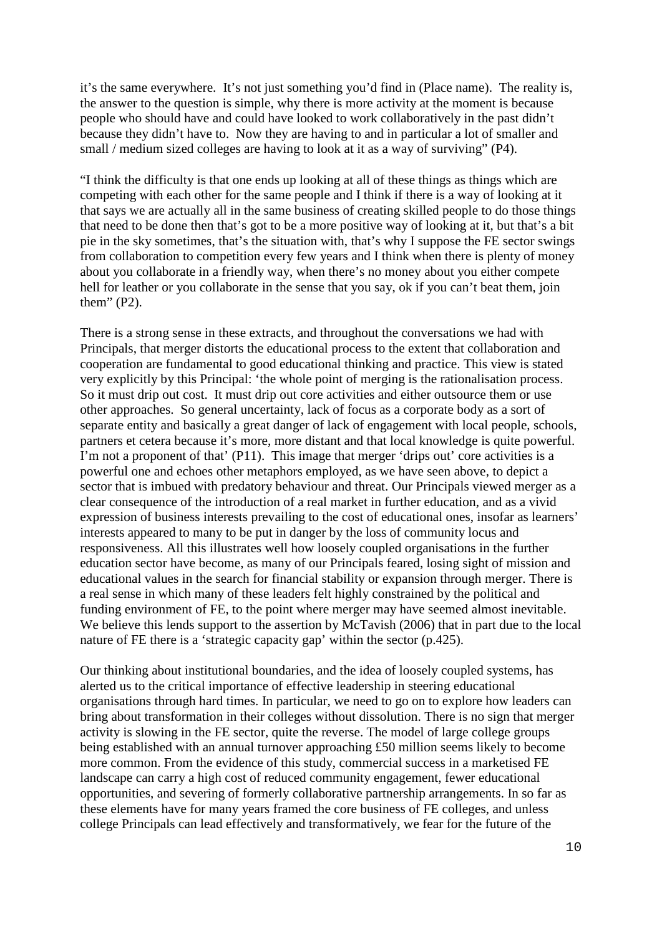it's the same everywhere. It's not just something you'd find in (Place name). The reality is, the answer to the question is simple, why there is more activity at the moment is because people who should have and could have looked to work collaboratively in the past didn't because they didn't have to. Now they are having to and in particular a lot of smaller and small / medium sized colleges are having to look at it as a way of surviving" (P4).

"I think the difficulty is that one ends up looking at all of these things as things which are competing with each other for the same people and I think if there is a way of looking at it that says we are actually all in the same business of creating skilled people to do those things that need to be done then that's got to be a more positive way of looking at it, but that's a bit pie in the sky sometimes, that's the situation with, that's why I suppose the FE sector swings from collaboration to competition every few years and I think when there is plenty of money about you collaborate in a friendly way, when there's no money about you either compete hell for leather or you collaborate in the sense that you say, ok if you can't beat them, join them" (P2).

There is a strong sense in these extracts, and throughout the conversations we had with Principals, that merger distorts the educational process to the extent that collaboration and cooperation are fundamental to good educational thinking and practice. This view is stated very explicitly by this Principal: 'the whole point of merging is the rationalisation process. So it must drip out cost. It must drip out core activities and either outsource them or use other approaches. So general uncertainty, lack of focus as a corporate body as a sort of separate entity and basically a great danger of lack of engagement with local people, schools, partners et cetera because it's more, more distant and that local knowledge is quite powerful. I'm not a proponent of that' (P11). This image that merger 'drips out' core activities is a powerful one and echoes other metaphors employed, as we have seen above, to depict a sector that is imbued with predatory behaviour and threat. Our Principals viewed merger as a clear consequence of the introduction of a real market in further education, and as a vivid expression of business interests prevailing to the cost of educational ones, insofar as learners' interests appeared to many to be put in danger by the loss of community locus and responsiveness. All this illustrates well how loosely coupled organisations in the further education sector have become, as many of our Principals feared, losing sight of mission and educational values in the search for financial stability or expansion through merger. There is a real sense in which many of these leaders felt highly constrained by the political and funding environment of FE, to the point where merger may have seemed almost inevitable. We believe this lends support to the assertion by McTavish (2006) that in part due to the local nature of FE there is a 'strategic capacity gap' within the sector (p.425).

Our thinking about institutional boundaries, and the idea of loosely coupled systems, has alerted us to the critical importance of effective leadership in steering educational organisations through hard times. In particular, we need to go on to explore how leaders can bring about transformation in their colleges without dissolution. There is no sign that merger activity is slowing in the FE sector, quite the reverse. The model of large college groups being established with an annual turnover approaching £50 million seems likely to become more common. From the evidence of this study, commercial success in a marketised FE landscape can carry a high cost of reduced community engagement, fewer educational opportunities, and severing of formerly collaborative partnership arrangements. In so far as these elements have for many years framed the core business of FE colleges, and unless college Principals can lead effectively and transformatively, we fear for the future of the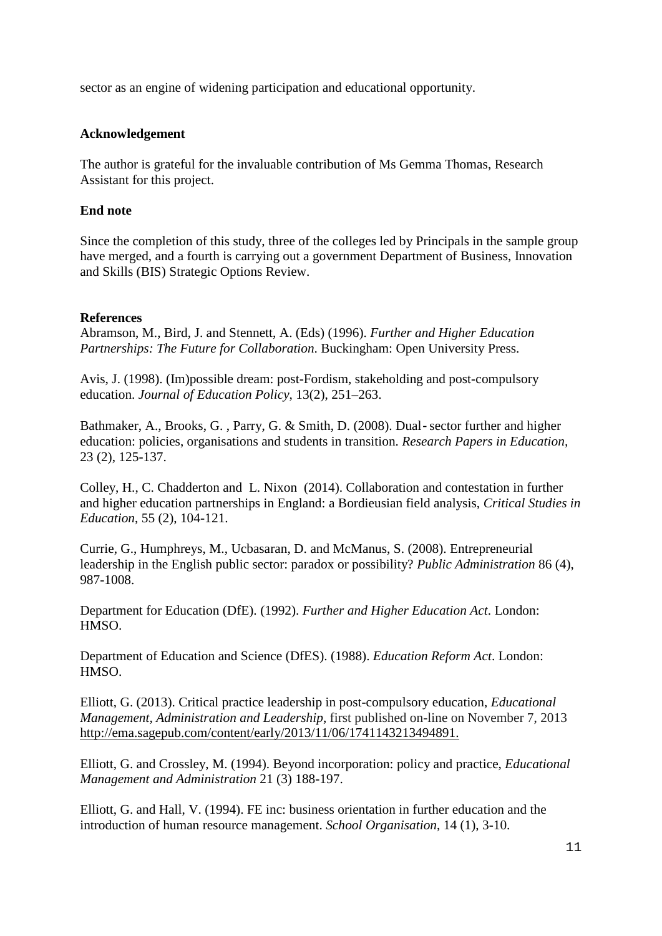sector as an engine of widening participation and educational opportunity.

# **Acknowledgement**

The author is grateful for the invaluable contribution of Ms Gemma Thomas, Research Assistant for this project.

# **End note**

Since the completion of this study, three of the colleges led by Principals in the sample group have merged, and a fourth is carrying out a government Department of Business, Innovation and Skills (BIS) Strategic Options Review.

# **References**

Abramson, M., Bird, J. and Stennett, A. (Eds) (1996). *Further and Higher Education Partnerships: The Future for Collaboration*. Buckingham: Open University Press.

Avis, J. (1998). (Im)possible dream: post-Fordism, stakeholding and post-compulsory education. *Journal of Education Policy*, 13(2), 251–263.

Bathmaker, A., Brooks, G. , Parry, G. & Smith, D. (2008). Dual‐sector further and higher education: policies, organisations and students in transition. *Research Papers in Education,*  23 (2), 125-137.

Colley, H., C. Chadderton and L. Nixon (2014). Collaboration and contestation in further and higher education partnerships in England: a Bordieusian field analysis, *Critical Studies in Education*, 55 (2), 104-121.

Currie, G., Humphreys, M., Ucbasaran, D. and McManus, S. (2008). Entrepreneurial leadership in the English public sector: paradox or possibility? *Public Administration* 86 (4), 987-1008.

Department for Education (DfE). (1992). *Further and Higher Education Act*. London: HMSO.

Department of Education and Science (DfES). (1988). *Education Reform Act*. London: HMSO.

Elliott, G. (2013). Critical practice leadership in post-compulsory education, *Educational Management, Administration and Leadership*, first published on-line on November 7, 2013 [http://ema.sagepub.com/content/early/2013/11/06/1741143213494891.](http://ema.sagepub.com/content/early/2013/11/06/1741143213494891)

Elliott, G. and Crossley, M. (1994). Beyond incorporation: policy and practice, *Educational Management and Administration* 21 (3) 188-197.

Elliott, G. and Hall, V. (1994). FE inc: business orientation in further education and the introduction of human resource management. *School Organisation*, 14 (1), 3-10.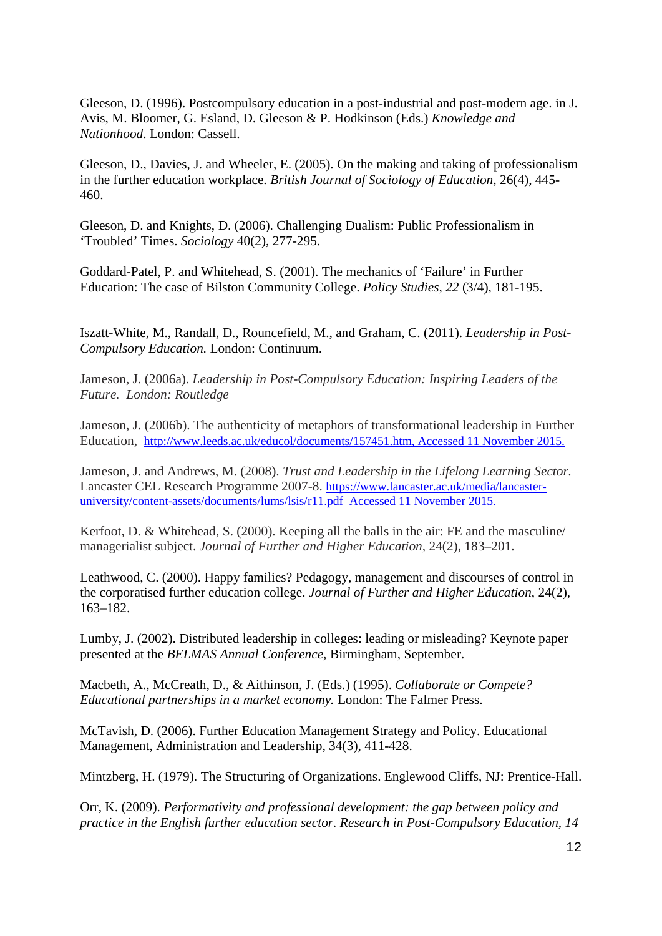Gleeson, D. (1996). Postcompulsory education in a post-industrial and post-modern age. in J. Avis, M. Bloomer, G. Esland, D. Gleeson & P. Hodkinson (Eds.) *Knowledge and Nationhood*. London: Cassell.

Gleeson, D., Davies, J. and Wheeler, E. (2005). On the making and taking of professionalism in the further education workplace. *British Journal of Sociology of Education,* 26(4), 445- 460.

Gleeson, D. and Knights, D. (2006). Challenging Dualism: Public Professionalism in 'Troubled' Times. *Sociology* 40(2), 277-295.

Goddard-Patel, P. and Whitehead, S. (2001). The mechanics of 'Failure' in Further Education: The case of Bilston Community College. *Policy Studies, 22* (3/4), 181-195.

Iszatt-White, M., Randall, D., Rouncefield, M., and Graham, C. (2011). *Leadership in Post-Compulsory Education.* London: Continuum.

Jameson, J. (2006a). *Leadership in Post-Compulsory Education: Inspiring Leaders of the Future. London: Routledge*

Jameson, J. (2006b). The authenticity of metaphors of transformational leadership in Further Education, [http://www.leeds.ac.uk/educol/documents/157451.htm,](http://www.leeds.ac.uk/educol/documents/157451.htm) Accessed 11 November 2015.

Jameson, J. and Andrews, M. (2008). *Trust and Leadership in the Lifelong Learning Sector.*  Lancaster CEL Research Programme 2007-8. [https://www.lancaster.ac.uk/media/lancaster](https://www.lancaster.ac.uk/media/lancaster-university/content-assets/documents/lums/lsis/r11.pdf)[university/content-assets/documents/lums/lsis/r11.pdf](https://www.lancaster.ac.uk/media/lancaster-university/content-assets/documents/lums/lsis/r11.pdf) Accessed 11 November 2015.

Kerfoot, D. & Whitehead, S. (2000). Keeping all the balls in the air: FE and the masculine/ managerialist subject. *Journal of Further and Higher Education,* 24(2), 183–201.

Leathwood, C. (2000). Happy families? Pedagogy, management and discourses of control in the corporatised further education college. *Journal of Further and Higher Education*, 24(2), 163–182.

Lumby, J. (2002). Distributed leadership in colleges: leading or misleading? Keynote paper presented at the *BELMAS Annual Conference,* Birmingham, September.

Macbeth, A., McCreath, D., & Aithinson, J. (Eds.) (1995). *Collaborate or Compete? Educational partnerships in a market economy.* London: The Falmer Press.

McTavish, D. (2006). Further Education Management Strategy and Policy. Educational Management, Administration and Leadership, 34(3), 411-428.

Mintzberg, H. (1979). The Structuring of Organizations. Englewood Cliffs, NJ: Prentice-Hall.

Orr, K. (2009). *Performativity and professional development: the gap between policy and practice in the English further education sector. Research in Post-Compulsory Education, 14*